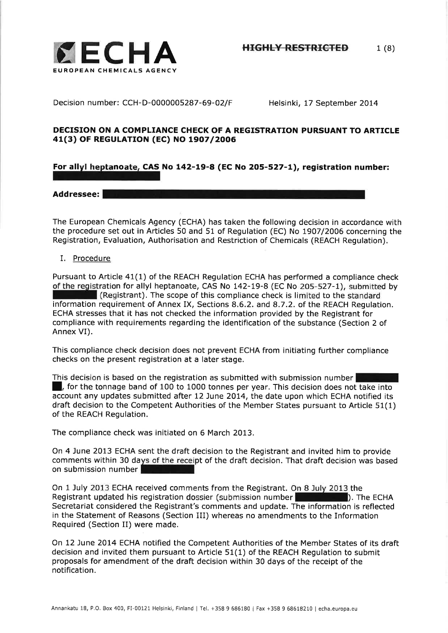

Decision number: CCH-D-0000005287-69-O2/F Helsinki, 17 September 2014

## DECISION ON A COMPLIANCE CHECK OF A REGISTRATION PURSUANT TO ARTICLE 41(3) OF REGULATION (EC) NO 1907/2006

# For allyl heptanoate, CAS No 142-19-8 (EC No 205-527-1), registration number:

### Addressee: **I**

The European Chemicals Agency (ECHA) has taken the following decision in accordance with the procedure set out in Articles 50 and 51 of Regulation (EC) No 1907/2006 concerning the Registration, Evaluation, Authorisation and Restriction of Chemicals (REACH Regulation).

### I. Procedure

Pursuant to Article  $41(1)$  of the REACH Regulation ECHA has performed a compliance check of the registration for allyl heptanoate, CAS No 142-19-B (EC No 205-527-1), submitted by  $\blacksquare$  (Registrant). The scope of this compliance check is limited to the standard information requirement of Annex IX, Sections 8,6,2. and 8.7.2. of the REACH Regulation. ECHA stresses that it has not checked the information provided by the Registrant for compliance with requirements regarding the identification of the substance (Section 2 of Annex VI).

This compliance check decision does not prevent ECHA from initiating further compliance checks on the present registration at a later stage.

This decision is based on the registration as submitted with submission number I **linum**, for the tonnage band of 100 to 1000 tonnes per year. This decision does not take into account any updates submitted after 12 June 2014, the date upon which ECHA notified its draft decision to the Competent Authorities of the Member States pursuant to Article 51(1) of the REACH Regulation,

The compliance check was initiated on 6 March 2013.

On 4 June 2013 ECHA sent the draft decision to the Registrant and invited him to provide comments within 30 days of the receipt of the draft decision. That draft decision was based on submission number

On 1 July 2013 ECHA received comments from the Registrant. On B July 2013 the Registrant updated his registration dossier (submission number l). The ECHA Secretariat considered the Registrant's comments and update. The information is reflected in the Statement of Reasons (Section III) whereas no amendments to the Information Required (Section II) were made.

On 12 June 2014 ECHA notified the Competent Authorities of the Member States of its draft decision and invited them pursuant to Article 51(1) of the REACH Regulation to submit proposals for amendment of the draft decision within 30 days of the receipt of the notification.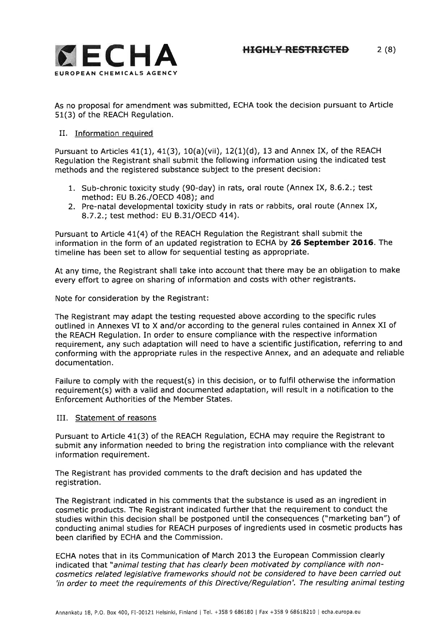

As no proposal for amendment was submitted, ECHA took the decision pursuant to Article 51(3) of the REACH Regulation.

### II. Information required

Pursuant to Articles  $41(1)$ ,  $41(3)$ ,  $10(a)(vi)$ ,  $12(1)(d)$ , 13 and Annex IX, of the REACH Regulation the Registrant shall submit the following information using the indicated test methods and the registered substance subject to the present decision:

- 1. Sub-chronic toxicity study (90-day) in rats, oral route (Annex IX, 8.6.2.; test method: EU B.26./OECD 408); and
- 2. Pre-natal developmental toxicity study in rats or rabbits, oral route (Annex IX, 8.7.2.; test method: EU 8,3I/OECD 414).

Pursuant to Article 41(4) of the REACH Regulation the Registrant shall submit the information in the form of an updated registration to ECHA by 26 September 2O16. The timeline has been set to allow for sequential testing as appropriate.

At any time, the Registrant shall take into account that there may be an obligation to make every effort to agree on sharing of information and costs with other registrants,

Note for consideration by the Registrant:

The Registrant may adapt the testing requested above according to the specific rules outlined in Annexes VI to X and/or according to the general rules contained in Annex XI of the REACH Regulation. In order to ensure compliance with the respective information requirement, any such adaptation will need to have a scientific justification, referring to and conforming with the appropriate rules in the respective Annex, and an adequate and reliable documentation.

Failure to comply with the request(s) in this decision, or to fulfil otherwise the information requirement(s) with a valid and documented adaptation, will result in a notification to the Enforcement Authorities of the Member States.

IIL Statement of reasons

Pursuant to Article 41(3) of the REACH Regulation, ECHA may require the Registrant to submit any information needed to bring the registration into compliance with the relevant information requirement.

The Registrant has provided comments to the draft decision and has updated the registration.

The Registrant indicated in his comments that the substance is used as an ingredient in cosmetic products. The Registrant indicated further that the requirement to conduct the studies within this decision shall be postponed until the consequences ("marketing ban") of conducting animal studies for REACH purposes of ingredients used in cosmetic products has been clarified by ECHA and the Commission.

ECHA notes that in its Communication of March 2013 the European Commission clearly indicated that "animal testing that has clearly been motivated by compliance with noncosmetics related legislative frameworks should not be considered to have been carried out 'in order to meet the requirements of this Directive/Regulation'. The resulting animal testing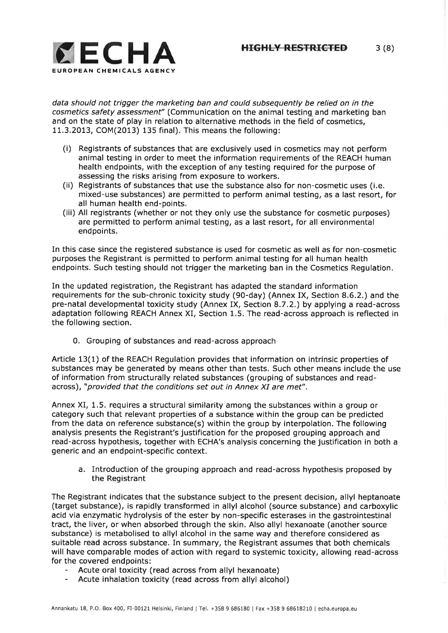

data should not trigger the marketing ban and could subsequently be relied on in the cosmetics safety assessment" (Communication on the animal testing and marketing ban and on the state of play in relation to alternative methods in the field of cosmetics, 11.3,2013, COM(2013) 135 final), This means the following:

- (i) Registrants of substances that are exclusively used in cosmetics may not perform animal testing in order to meet the information requirements of the REACH human health endpoints, with the exception of any testing required for the purpose of assessing the risks arising from exposure to workers,
- (ii) Registrants of substances that use the substance also for non-cosmetic uses (i.e. mixed-use substances) are permitted to perform animal testing, as a last resort, for all human health end-points.
- (iii) All registrants (whether or not they only use the substance for cosmetic purposes) are permitted to perform animal testing, as a last resort, for all environmental endpoints,

In this case since the registered substance is used for cosmetic as well as for non-cosmetic purposes the Registrant is permitted to perform animal testing for all human health endpoints. Such testing should not trigger the marketing ban in the Cosmetics Regulation.

In the updated registration, the Registrant has adapted the standard information requirements for the sub-chronic toxicity study (90-day) (Annex IX, Section 8.6.2.) and the pre-natal developmental toxicity study (Annex IX, Section 8.7.2.) by applying a read-across adaptation following REACH Annex XI, Section 1,5. The read-across approach is reflected in the following section.

0. Grouping of substances and read-across approach

Article 13(1) of the REACH Regulation provides that information on intrinsic properties of substances may be generated by means other than tests. Such other means include the use of information from structurally related substances (grouping of substances and readacross), "provided that the conditions set out in Annex XI are met".

Annex XI, 1.5, requires a structural similarity among the substances within a group or category such that relevant properties of a substance within the group can be predicted from the data on reference substance(s) within the group by interpolation. The following analysis presents the Registrant's justification for the proposed grouping approach and read-across hypothesis, together with ECHA's analysis concerning the justification in both <sup>a</sup> generic and an endpoint-specific context.

a. Introduction of the grouping approach and read-across hypothesis proposed by the Registrant

The Registrant indicates that the substance subject to the present decision, allyl heptanoate (target substance), is rapidly transformed in allyl alcohol (source substance) and carboxylic acid via enzymatic hydrolysis of the ester by non-specific esterases in the gastrointestinal tract, the liver, or when absorbed through the skin. Also allyl hexanoate (another source substance) is metabolised to allyl alcohol in the same way and therefore considered as suitable read across substance. In summary, the Registrant assumes that both chemicals will have comparable modes of action with regard to systemic toxicity, allowing read-across for the covered endpoints:

- Acute oral toxicity (read across from allyl hexanoate)
- Acute inhalation toxicity (read across from allyl alcohol)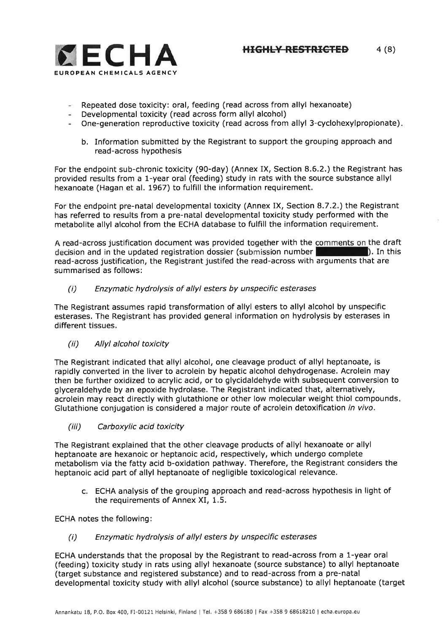

- Repeated dose toxicity: oral, feeding (read across from allyl hexanoate)
- Developmental toxicity (read across form allyl alcohol)
- One-generation reproductive toxicity (read across from allyl 3-cyclohexylpropionate).
	- b. Information submitted by the Registrant to support the grouping approach and read-across hypothesis

For the endpoint sub-chronic toxicity (90-day) (Annex IX, Section 8,6,2.) the Registrant has provided results from a 1-year oral (feeding) study in rats with the source substance allyl hexanoate (Hagan et al, 1967) to fulfill the information requirement.

For the endpoint pre-natal developmental toxicity (Annex IX, Section 8.7.2.) the Registrant has referred to results from a pre-natal developmental toxicity study performed with the metabolite allyl alcohol from the ECHA database to fulfill the information requirement.

A read-across justification document was provided together with the comments on the draft decision and in the updated registration dossier (submission number I). In this read-across justification, the Registrant justifed the read-across with arguments that are summarised as follows:

(i) Enzymatic hydrolysis of allyl esters by unspecific esterases

The Registrant assumes rapid transformation of allyl esters to allyl alcohol by unspecific esterases. The Registrant has provided general information on hydrolysis by esterases in different tissues,

(ii) Allyl alcohol toxicity

The Registrant indicated that allyl alcohol, one cleavage product of allyl heptanoate, is rapidly converted in the liver to acrolein by hepatic alcohol dehydrogenase. Acrolein may then be further oxidized to acrylic acid, or to glycidaldehyde with subsequent conversion to glyceraldehyde by an epoxide hydrolase. The Registrant indicated that, alternatively, acrolein may react directly with glutathione or other low molecular weight thiol compounds Glutathione conjugation is considered a major route of acrolein detoxification in vivo.

(iii) Carboxylic acid toxicity

The Registrant explained that the other cleavage products of allyl hexanoate or allyl heptanoate are hexanoic or heptanoic acid, respectively, which undergo complete metabolism via the fatty acid b-oxidation pathway. Therefore, the Registrant considers the heptanoic acid part of allyl heptanoate of negligible toxicological relevance.

c. ECHA analysis of the grouping approach and read-across hypothesis in light of the requirements of Annex XI, 1.5.

ECHA notes the following:

(i) Enzymatic hydrolysis of allyl esters by unspecific esterases

ECHA understands that the proposal by the Registrant to read-across from a l-year oral (feeding) toxicity study in rats using allyl hexanoate (source substance) to allyl heptanoate (target substance and registered substance) and to read-across from a pre-natal developmental toxicity study with allyl alcohol (source substance) to allyl heptanoate (target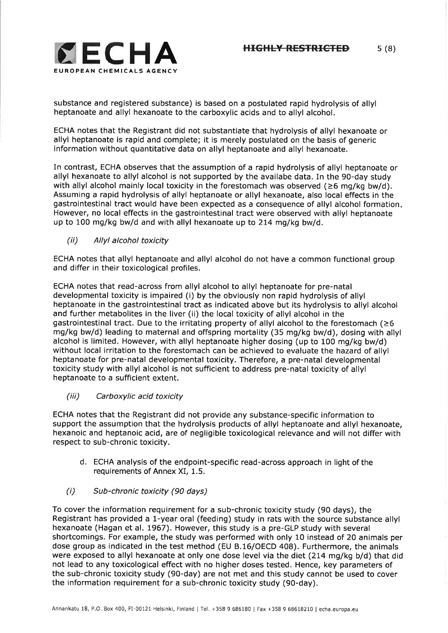

substance and registered substance) is based on a postulated rapid hydrolysis of allyl heptanoate and allyl hexanoate to the carboxylic acids and to allyl alcohol.

ECHA notes that the Registrant did not substantiate that hydrolysis of allyl hexanoate or allyl heptanoate is rapid and complete; it is merely postulated on the basis of generic information without quantitative data on allyl heptanoate and allyl hexanoate.

In contrast, ECHA observes that the assumption of a rapid hydrolysis of allyl heptanoate or allyl hexanoate to allyl alcohol is not supported by the availabe data. In the 90-day study with allyl alcohol mainly local toxicity in the forestomach was observed  $(26 \text{ ma/ka bw/d)}$ . Assuming a rapid hydrolysis of allyl heptanoate or allyl hexanoate, also local effects in the gastrointestinal tract would have been expected as a consequence of allyl alcohol formation However, no local effects in the gastrointestinal tract were observed with allyl heptanoate up to 100 mg/kg bw/d and with allyl hexanoate up to 214 mg/kg bw/d.

(ii) Allyl alcohol toxicity

ECHA notes that allyl heptanoate and allyl alcohol do not have a common functional group and differ in their toxicological profiles.

ECHA notes that read-across from allyl alcohol to allyl heptanoate for pre-natal developmental toxicity is impaired (i) by the obviously non rapid hydrolysis of allyl heptanoate in the gastrointestinal tract as indicated above but its hydrolysis to allyl alcohol and further metabolites in the liver (ii) the local toxicity of allyl alcohol in the gastrointestinal tract. Due to the irritating property of allyl alcohol to the forestomach  $(\geq 6$ mg/kg bw/d) leading to maternal and offspring mortality (35 mg/kg bw/d), dosing with allyl alcohol is limited. However, with allyl heptanoate higher dosing (up to 100 mg/kg bw/d) without local irritation to the forestomach can be achieved to evaluate the hazard of allyl heptanoate for pre-natal developmental toxicity. Therefore, a pre-natal developmental toxicity study with allyl alcohol is not sufficient to address pre-natal toxicity of allyl heptanoate to a sufficient extent.

(iii) Carboxylic acid toxicity

ECHA notes that the Registrant did not provide any substance-specific information to support the assumption that the hydrolysis products of allyl heptanoate and allyl hexanoate, hexanoic and heptanoic acid, are of negligible toxicological relevance and will not differ with respect to sub-chronic toxicity.

- d, ECHA analysis of the endpoint-specific read-across approach in light of the requirements of Annex XI, 1.5.
- (i) Sub-chronic toxicity (90 days)

To cover the information requirement for a sub-chronic toxicity study (90 days), the Registrant has provided a l-year oral (feeding) study in rats with the source substance allyl hexanoate (Hagan et al. 1967). However, this study is a pre-GLP study with several shortcomings. For example, the study was performed with only 10 instead of 20 animals per dose group as indicated in the test method (EU 8.16/OECD 408). Furthermore, the animals were exposed to allyl hexanoate at only one dose level via the diet (214 mg/kg b/d) that did not lead to any toxicological effect with no higher doses tested, Hence, key parameters of the sub-chronic toxicity study (90-day) are not met and this study cannot be used to cover the information requirement for a sub-chronic toxicity study (90-day).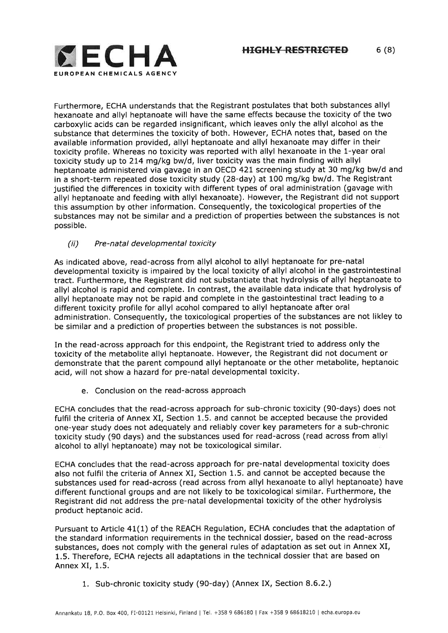

Furthermore, ECHA understands that the Registrant postulates that both substances allyl hexanoate and allyl heptanoate will have the same effects because the toxicity of the two carboxylic acids can be regarded insignificant, which leaves only the allyl alcohol as the substance that determines the toxicity of both. However, ECHA notes that, based on the available information provided, allyl heptanoate and allyl hexanoate may differ in their toxicity profile. Whereas no toxicity was reported with allyl hexanoate in the l-year oral toxicity study up to 214 mg/kg bw/d, liver toxicity was the main finding with allyl heptanoate administered via gavage in an OECD 421 screening study at 30 mg/kg bw/d and in a short-term repeated dose toxicity study (28-day) at 100 mg/kg bw/d. The Registrant justified the differences in toxicity with different types of oral administration (gavage with allyl heptanoate and feeding with allyl hexanoate). However, the Registrant did not support this assumption by other information. Consequently, the toxicological properties of the substances may not be similar and a prediction of properties between the substances is not possible.

## (ii) Pre-natal developmental toxicity

As indicated above, read-across from allyl alcohol to allyl heptanoate for pre-natal developmental toxicity is impaired by the local toxicity of allyl alcohol in the gastrointestinal tract. Furthermore, the Registrant did not substantiate that hydrolysis of allyl heptanoate to allyl alcohol is rapid and complete. In contrast, the available data indicate that hydrolysis of allyl heptanoate may not be rapid and complete in the gastointestinal tract leading to <sup>a</sup> different toxicity profile for allyl acohol compared to allyl heptanoate after oral administration. Consequently, the toxicological properties of the substances are not likley to be similar and a prediction of properties between the substances is not possible.

In the read-across approach for this endpoint, the Registrant tried to address only the toxicity of the metabolite allyl heptanoate. However, the Registrant did not document or demonstrate that the parent compound allyl heptanoate or the other metabolite, heptanoic acid, will not show a hazard for pre-natal developmental toxicity,

e. Conclusion on the read-across approach

ECHA concludes that the read-across approach for sub-chronic toxicity (9O-days) does not fulfil the criteria of Annex XI, Section 1.5. and cannot be accepted because the provided one-year study does not adequately and reliably cover key parameters for a sub-chronic toxicity study (90 days) and the substances used for read-across (read across from allyl alcohol to allyl heptanoate) may not be toxicological similar.

ECHA concludes that the read-across approach for pre-natal developmental toxicity does also not fulfil the criteria of Annex XI, Section 1.5. and cannot be accepted because the substances used for read-across (read across from allyl hexanoate to allyl heptanoate) have different functional groups and are not likely to be toxicological similar. Furthermore, the Registrant did not address the pre-natal developmental toxicity of the other hydrolysis product heptanoic acid,

Pursuant to Article 41(1) of the REACH Regulation, ECHA concludes that the adaptation of the standard information requirements in the technical dossier, based on the read-across substances, does not comply with the general rules of adaptation as set out in Annex XI, 1.5. Therefore, ECHA rejects all adaptations in the technical dossier that are based on Annex XI, 1.5.

1. Sub-chronic toxicity study (90-day) (Annex IX, Section 8,6.2.)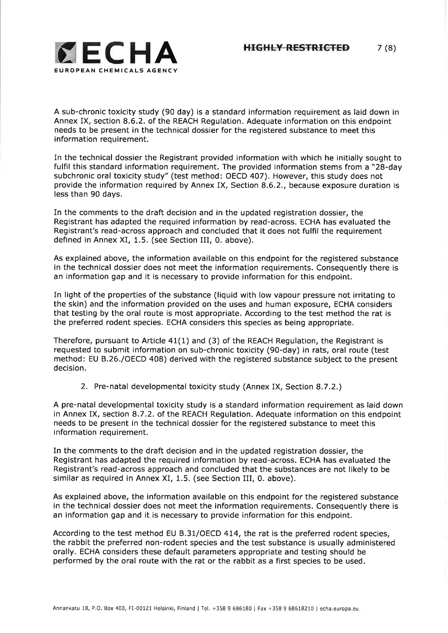

A sub-chronic toxicity study (90 day) is a standard information requirement as laid down in Annex IX, section 8.6.2. of the REACH Regulation. Adequate information on this endpoint needs to be present in the technical dossier for the registered substance to meet this information requirement.

In the technical dossier the Registrant provided information with which he initially sought to fulfil this standard information requirement. The provided information stems from a "28-day subchronic oral toxicity study" (test method: OECD 407). However, this study does not provide the information required by Annex IX, Section 8.6.2., because exposure duration is less than 90 days.

In the comments to the draft decision and in the updated registration dossier, the Registrant has adapted the required information by read-across, ECHA has evaluated the Registrant's read-across approach and concluded that it does not fulfil the requirement defined in Annex XI, 1,5, (see Section III, 0. above),

As explained above, the information available on this endpoint for the registered substance in the technical dossier does not meet the information requirements. Consequently there is an information gap and it is necessary to provide information for this endpoint.

In light of the properties of the substance (liquid with low vapour pressure not irritating to the skin) and the information provided on the uses and human exposure, ECHA considers that testing by the oral route is most appropriate. According to the test method the rat is the preferred rodent species. ECHA considers this species as being appropriate.

Therefore, pursuant to Article 41(1) and (3) of the REACH Regulation, the Registrant is requested to submit information on sub-chronic toxicity (90-day) in rats, oral route (test method: EU B.26./OECD 408) derived with the registered substance subject to the present decision.

2. Pre-natal developmental toxicity study (Annex IX, Section 8.7.2.)

A pre-natal developmental toxicity study is a standard information requirement as laid down in Annex IX, section 8.7.2. of the REACH Regulation. Adequate information on this endpoint needs to be present in the technical dossier for the registered substance to meet this <sup>i</sup>nformation requirement.

In the comments to the draft decision and in the updated registration dossier, the Registrant has adapted the required information by read-across. ECHA has evaluated the Registrant's read-across approach and concluded that the substances are not likely to be similar as required in Annex XI, 1.5. (see Section III, 0. above).

As explained above, the information available on this endpoint for the registered substance in the technical dossier does not meet the information requirements, Consequently there is an information gap and it is necessary to provide information for this endpoint.

According to the test method EU B.31/OECD 414, the rat is the preferred rodent species, the rabbit the preferred non-rodent species and the test substance is usually administered orally, ECHA considers these default parameters appropriate and testing should be performed by the oral route with the rat or the rabbit as a first species to be used.